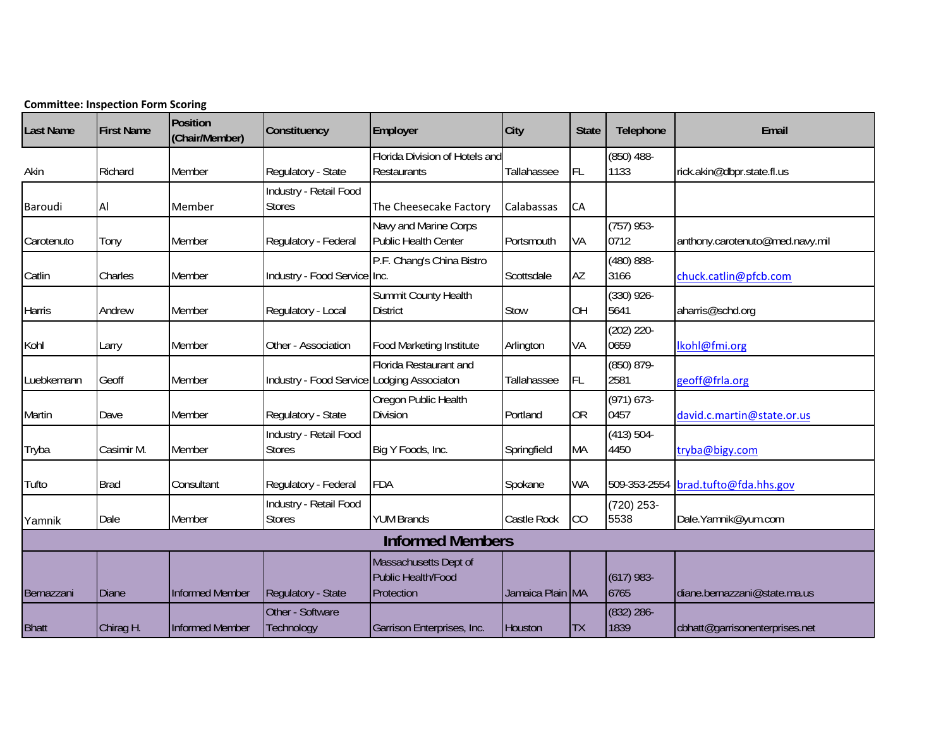|                  | <b>Committee: Inspection Form Scoring</b> |                            |                                            |                                                                  |                  |              |                       |                                 |
|------------------|-------------------------------------------|----------------------------|--------------------------------------------|------------------------------------------------------------------|------------------|--------------|-----------------------|---------------------------------|
| <b>Last Name</b> | <b>First Name</b>                         | Position<br>(Chair/Member) | Constituency                               | Employer                                                         | City             | <b>State</b> | Telephone             | Email                           |
| Akin             | Richard                                   | Member                     | Regulatory - State                         | Florida Division of Hotels and<br>Restaurants                    | Tallahassee      | <b>FL</b>    | $(850)$ 488-<br>1133  | rick.akin@dbpr.state.fl.us      |
| Baroudi          | Al                                        | Member                     | Industry - Retail Food<br><b>Stores</b>    | The Cheesecake Factory                                           | Calabassas       | CA           |                       |                                 |
| Carotenuto       | Tony                                      | Member                     | Regulatory - Federal                       | Navy and Marine Corps<br><b>Public Health Center</b>             | Portsmouth       | VA           | $(757)$ 953-<br>0712  | anthony.carotenuto@med.navy.mil |
| Catlin           | Charles                                   | Member                     | Industry - Food Service Inc.               | P.F. Chang's China Bistro                                        | Scottsdale       | AZ           | $(480) 888 -$<br>3166 | chuck.catlin@pfcb.com           |
| Harris           | Andrew                                    | Member                     | Regulatory - Local                         | Summit County Health<br><b>District</b>                          | Stow             | <b>OH</b>    | $(330)$ 926-<br>5641  | aharris@schd.org                |
| Kohl             | Larry                                     | Member                     | Other - Association                        | <b>Food Marketing Institute</b>                                  | Arlington        | VA           | (202) 220-<br>0659    | Ikohl@fmi.org                   |
| Luebkemann       | Geoff                                     | Member                     | Industry - Food Service Lodging Associaton | Florida Restaurant and                                           | Tallahassee      | FL           | (850) 879-<br>2581    | geoff@frla.org                  |
| Martin           | Dave                                      | Member                     | Regulatory - State                         | Oregon Public Health<br><b>Division</b>                          | Portland         | <b>OR</b>    | $(971) 673 -$<br>0457 | david.c.martin@state.or.us      |
| Tryba            | Casimir M.                                | Member                     | Industry - Retail Food<br><b>Stores</b>    | Big Y Foods, Inc.                                                | Springfield      | MA           | $(413) 504 -$<br>4450 | tryba@bigy.com                  |
| Tufto            | <b>Brad</b>                               | Consultant                 | Regulatory - Federal                       | <b>FDA</b>                                                       | Spokane          | WA           | 509-353-2554          | brad.tufto@fda.hhs.gov          |
| Yamnik           | Dale                                      | Member                     | Industry - Retail Food<br><b>Stores</b>    | <b>YUM Brands</b>                                                | Castle Rock      | CO           | (720) 253-<br>5538    | Dale.Yamnik@yum.com             |
|                  |                                           |                            |                                            | <b>Informed Members</b>                                          |                  |              |                       |                                 |
| Bernazzani       | <b>Diane</b>                              | <b>Informed Member</b>     | Regulatory - State                         | Massachusetts Dept of<br><b>Public Health/Food</b><br>Protection | Jamaica Plain MA |              | $(617)$ 983-<br>6765  | diane.bernazzani@state.ma.us    |
| <b>Bhatt</b>     | Chirag H.                                 | Informed Member            | Other - Software<br>Technology             | Garrison Enterprises, Inc.                                       | Houston          | <b>TX</b>    | (832) 286-<br>1839    | cbhatt@garrisonenterprises.net  |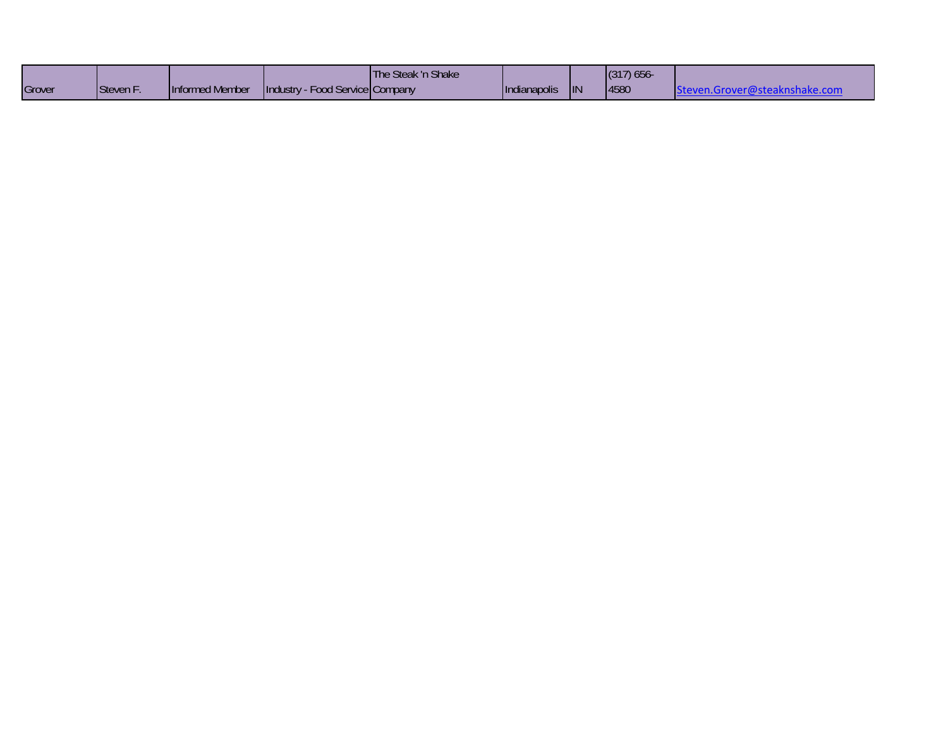|        |           |                 |                                       | The Steak 'n Shake |                     |            | (317) 656 |                               |
|--------|-----------|-----------------|---------------------------------------|--------------------|---------------------|------------|-----------|-------------------------------|
| Grover | Steven F. | Informed Member | - Food Service Company<br>Hindustry - |                    | <b>Indianapolis</b> | <b>IIN</b> | 4580      | knshake.com<br>staroveri@stea |